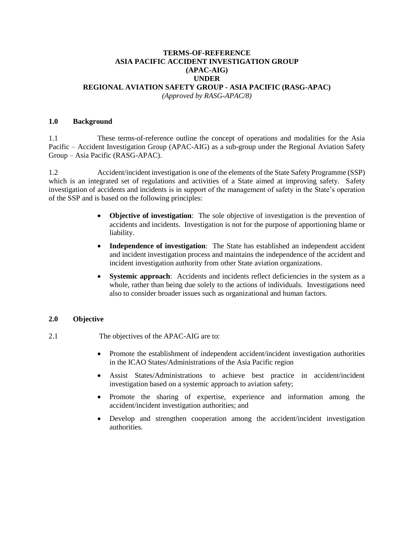## **TERMS-OF-REFERENCE ASIA PACIFIC ACCIDENT INVESTIGATION GROUP (APAC-AIG) UNDER REGIONAL AVIATION SAFETY GROUP - ASIA PACIFIC (RASG-APAC)** *(Approved by RASG-APAC/8)*

## **1.0 Background**

1.1 These terms-of-reference outline the concept of operations and modalities for the Asia Pacific – Accident Investigation Group (APAC-AIG) as a sub-group under the Regional Aviation Safety Group – Asia Pacific (RASG-APAC).

1.2 Accident/incident investigation is one of the elements of the State Safety Programme (SSP) which is an integrated set of regulations and activities of a State aimed at improving safety. Safety investigation of accidents and incidents is in support of the management of safety in the State's operation of the SSP and is based on the following principles:

- **Objective of investigation**: The sole objective of investigation is the prevention of accidents and incidents. Investigation is not for the purpose of apportioning blame or liability.
- **Independence of investigation**: The State has established an independent accident and incident investigation process and maintains the independence of the accident and incident investigation authority from other State aviation organizations.
- **Systemic approach**: Accidents and incidents reflect deficiencies in the system as a whole, rather than being due solely to the actions of individuals. Investigations need also to consider broader issues such as organizational and human factors.

## **2.0 Objective**

- 2.1 The objectives of the APAC-AIG are to:
	- Promote the establishment of independent accident/incident investigation authorities in the ICAO States/Administrations of the Asia Pacific region
	- Assist States/Administrations to achieve best practice in accident/incident investigation based on a systemic approach to aviation safety;
	- Promote the sharing of expertise, experience and information among the accident/incident investigation authorities; and
	- Develop and strengthen cooperation among the accident/incident investigation authorities.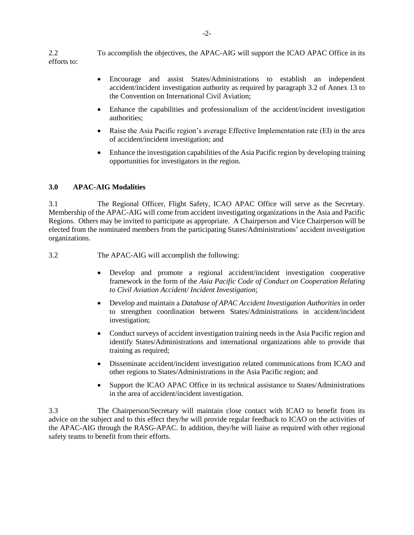2.2 To accomplish the objectives, the APAC-AIG will support the ICAO APAC Office in its efforts to:

- Encourage and assist States/Administrations to establish an independent accident/incident investigation authority as required by paragraph 3.2 of Annex 13 to the Convention on International Civil Aviation;
- Enhance the capabilities and professionalism of the accident/incident investigation authorities;
- Raise the Asia Pacific region's average Effective Implementation rate (EI) in the area of accident/incident investigation; and
- Enhance the investigation capabilities of the Asia Pacific region by developing training opportunities for investigators in the region.

## **3.0 APAC-AIG Modalities**

3.1 The Regional Officer, Flight Safety, ICAO APAC Office will serve as the Secretary. Membership of the APAC-AIG will come from accident investigating organizations in the Asia and Pacific Regions. Others may be invited to participate as appropriate. A Chairperson and Vice Chairperson will be elected from the nominated members from the participating States/Administrations' accident investigation organizations.

3.2 The APAC-AIG will accomplish the following:

- Develop and promote a regional accident/incident investigation cooperative framework in the form of the *Asia Pacific Code of Conduct on Cooperation Relating to Civil Aviation Accident/ Incident Investigation*;
- Develop and maintain a *Database of APAC Accident Investigation Authorities* in order to strengthen coordination between States/Administrations in accident/incident investigation;
- Conduct surveys of accident investigation training needs in the Asia Pacific region and identify States/Administrations and international organizations able to provide that training as required;
- Disseminate accident/incident investigation related communications from ICAO and other regions to States/Administrations in the Asia Pacific region; and
- Support the ICAO APAC Office in its technical assistance to States/Administrations in the area of accident/incident investigation.

3.3 The Chairperson/Secretary will maintain close contact with ICAO to benefit from its advice on the subject and to this effect they/he will provide regular feedback to ICAO on the activities of the APAC-AIG through the RASG-APAC. In addition, they/he will liaise as required with other regional safety teams to benefit from their efforts.